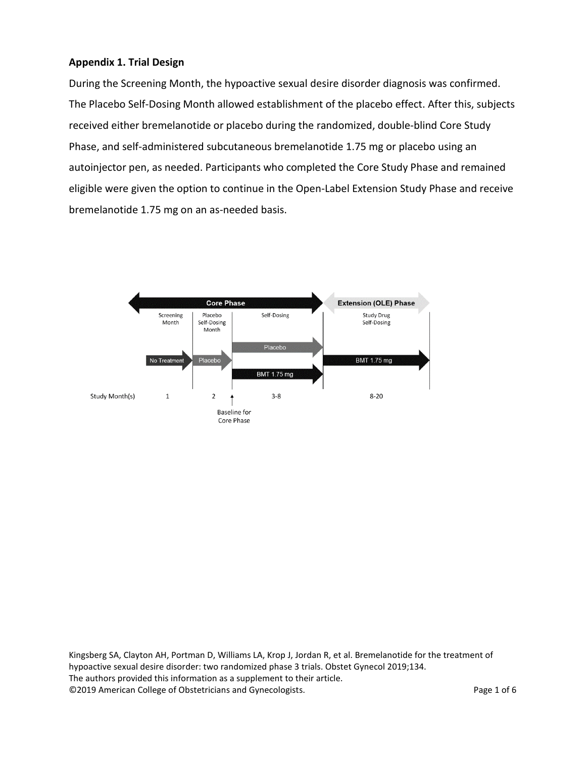### **Appendix 1. Trial Design**

During the Screening Month, the hypoactive sexual desire disorder diagnosis was confirmed. The Placebo Self-Dosing Month allowed establishment of the placebo effect. After this, subjects received either bremelanotide or placebo during the randomized, double-blind Core Study Phase, and self-administered subcutaneous bremelanotide 1.75 mg or placebo using an autoinjector pen, as needed. Participants who completed the Core Study Phase and remained eligible were given the option to continue in the Open-Label Extension Study Phase and receive bremelanotide 1.75 mg on an as-needed basis.



Kingsberg SA, Clayton AH, Portman D, Williams LA, Krop J, Jordan R, et al. Bremelanotide for the treatment of hypoactive sexual desire disorder: two randomized phase 3 trials. Obstet Gynecol 2019;134. The authors provided this information as a supplement to their article. ©2019 American College of Obstetricians and Gynecologists. Page 1 of 6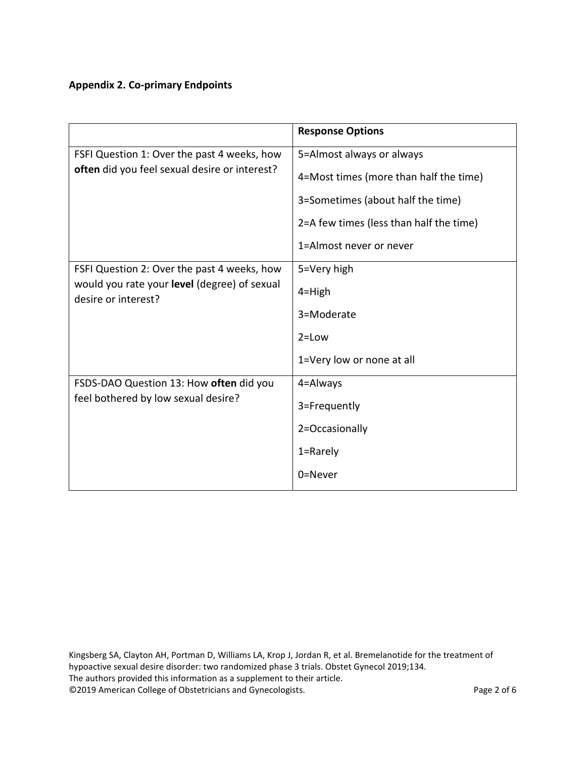# **Appendix 2. Co-primary Endpoints**

|                                                                     | <b>Response Options</b>                 |
|---------------------------------------------------------------------|-----------------------------------------|
| FSFI Question 1: Over the past 4 weeks, how                         | 5=Almost always or always               |
| often did you feel sexual desire or interest?                       | 4=Most times (more than half the time)  |
|                                                                     | 3=Sometimes (about half the time)       |
|                                                                     | 2=A few times (less than half the time) |
|                                                                     | 1=Almost never or never                 |
| FSFI Question 2: Over the past 4 weeks, how                         | 5=Very high                             |
| would you rate your level (degree) of sexual<br>desire or interest? | $4 =$ High                              |
|                                                                     | 3=Moderate                              |
|                                                                     | $2 = Low$                               |
|                                                                     | 1=Very low or none at all               |
| FSDS-DAO Question 13: How often did you                             | 4=Always                                |
| feel bothered by low sexual desire?                                 | 3=Frequently                            |
|                                                                     | 2=Occasionally                          |
|                                                                     | 1=Rarely                                |
|                                                                     | 0=Never                                 |

Kingsberg SA, Clayton AH, Portman D, Williams LA, Krop J, Jordan R, et al. Bremelanotide for the treatment of hypoactive sexual desire disorder: two randomized phase 3 trials. Obstet Gynecol 2019;134. The authors provided this information as a supplement to their article. ©2019 American College of Obstetricians and Gynecologists. Page 2 of 6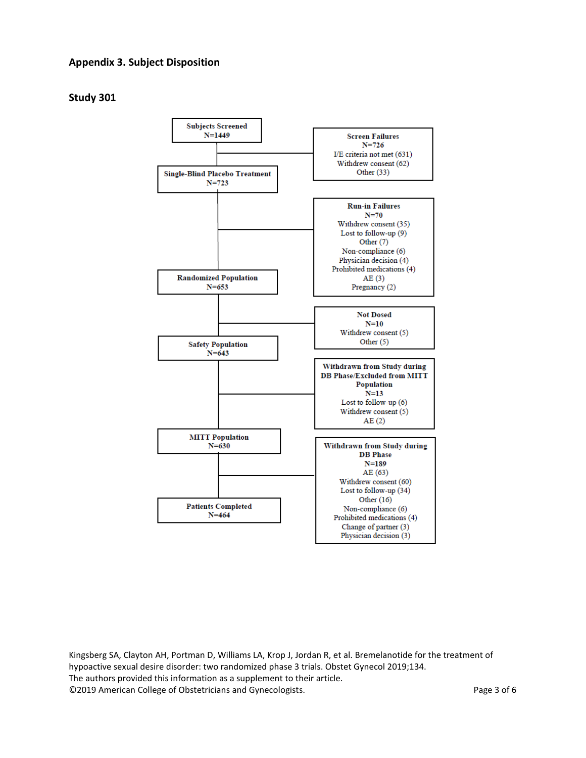#### **Appendix 3. Subject Disposition**

### **Study 301**



Kingsberg SA, Clayton AH, Portman D, Williams LA, Krop J, Jordan R, et al. Bremelanotide for the treatment of hypoactive sexual desire disorder: two randomized phase 3 trials. Obstet Gynecol 2019;134. The authors provided this information as a supplement to their article. ©2019 American College of Obstetricians and Gynecologists. Page 3 of 6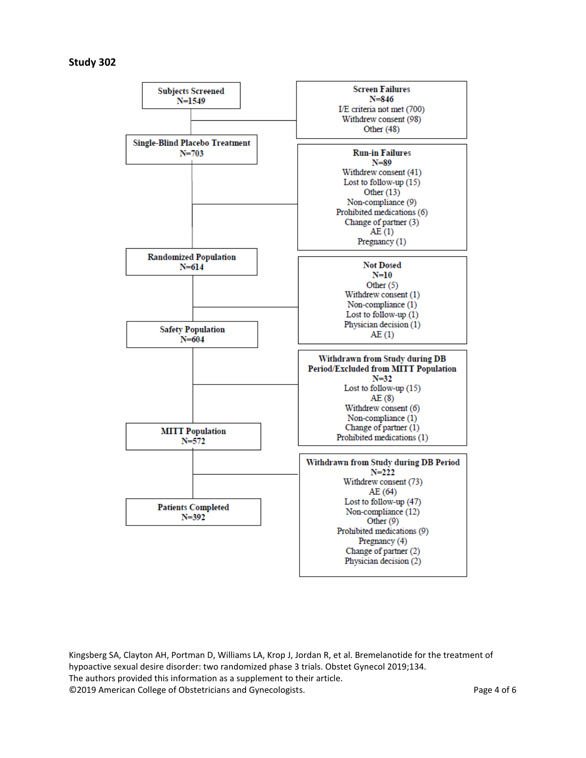#### **Study 302**



Kingsberg SA, Clayton AH, Portman D, Williams LA, Krop J, Jordan R, et al. Bremelanotide for the treatment of hypoactive sexual desire disorder: two randomized phase 3 trials. Obstet Gynecol 2019;134. The authors provided this information as a supplement to their article. ©2019 American College of Obstetricians and Gynecologists. Page 4 of 6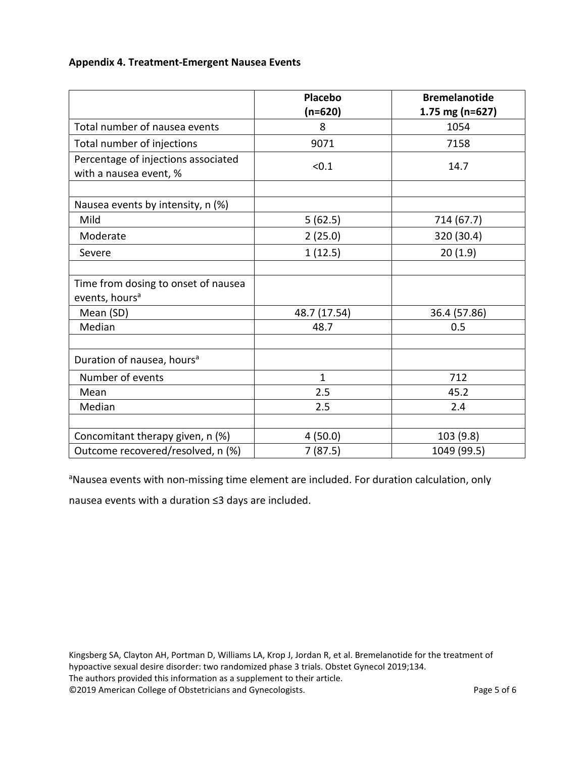## **Appendix 4. Treatment-Emergent Nausea Events**

|                                                                   | <b>Placebo</b><br>$(n=620)$ | <b>Bremelanotide</b><br>1.75 mg (n=627) |
|-------------------------------------------------------------------|-----------------------------|-----------------------------------------|
| Total number of nausea events                                     | 8                           | 1054                                    |
| Total number of injections                                        | 9071                        | 7158                                    |
| Percentage of injections associated<br>with a nausea event, %     | < 0.1                       | 14.7                                    |
| Nausea events by intensity, n (%)                                 |                             |                                         |
| Mild                                                              | 5(62.5)                     | 714 (67.7)                              |
| Moderate                                                          | 2(25.0)                     | 320 (30.4)                              |
| Severe                                                            | 1(12.5)                     | 20(1.9)                                 |
|                                                                   |                             |                                         |
| Time from dosing to onset of nausea<br>events, hours <sup>a</sup> |                             |                                         |
| Mean (SD)                                                         | 48.7 (17.54)                | 36.4 (57.86)                            |
| Median                                                            | 48.7                        | 0.5                                     |
| Duration of nausea, hours <sup>a</sup>                            |                             |                                         |
| Number of events                                                  | $\mathbf{1}$                | 712                                     |
| Mean                                                              | 2.5                         | 45.2                                    |
| Median                                                            | 2.5                         | 2.4                                     |
|                                                                   |                             |                                         |
| Concomitant therapy given, n (%)                                  | 4(50.0)                     | 103 (9.8)                               |
| Outcome recovered/resolved, n (%)                                 | 7(87.5)                     | 1049 (99.5)                             |

<sup>a</sup>Nausea events with non-missing time element are included. For duration calculation, only

nausea events with a duration ≤3 days are included.

Kingsberg SA, Clayton AH, Portman D, Williams LA, Krop J, Jordan R, et al. Bremelanotide for the treatment of hypoactive sexual desire disorder: two randomized phase 3 trials. Obstet Gynecol 2019;134. The authors provided this information as a supplement to their article. ©2019 American College of Obstetricians and Gynecologists. Page 5 of 6